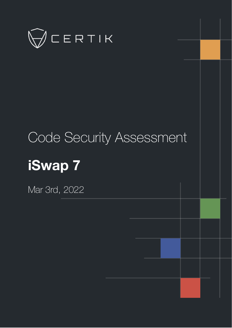

# Code Security Assessment **iSwap 7**

Mar 3rd, 2022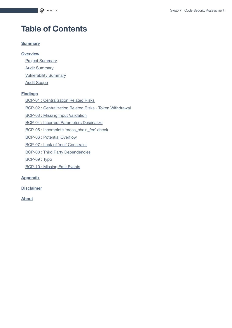# **Table of Contents**

#### **[Summary](#page-2-0)**

#### **[Overview](#page-3-0)**

**Project [Summary](#page-3-1) Audit [Summary](#page-3-2)** 

[Vulnerability Summary](#page-3-3)

Audit [Scope](#page-4-0)

#### **[Findings](#page-7-0)**

**BCP-01 : [Centralization](#page-8-0) Related Risks** 

BCP-02 : [Centralization](#page-11-0) Related Risks - Token Withdrawal

BCP-03 : Missing Input [Validation](#page-13-0)

BCP-04 : Incorrect [Parameters Deserialize](#page-15-0)

BCP-05 : Incomplete [`cross\\_chain\\_fee`](#page-16-0) check

BCP-06 : Potential [Overflow](#page-17-0)

BCP-07 : Lack of `mut` [Constraint](#page-18-0)

BCP-08 : Third [Party Dependencies](#page-19-0)

[BCP-09](#page-20-0) : Typo

[BCP-10](#page-21-0) : Missing Emit Events

#### **[Appendix](#page-22-0)**

**[Disclaimer](#page-24-0)**

**[About](#page-27-0)**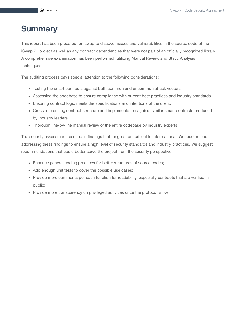# <span id="page-2-0"></span>**Summary**

This report has been prepared for Iswap to discover issues and vulnerabilities in the source code of the iSwap 7 project as well as any contract dependencies that were not part of an officially recognized library. A comprehensive examination has been performed, utilizing Manual Review and Static Analysis techniques.

The auditing process pays special attention to the following considerations:

- Testing the smart contracts against both common and uncommon attack vectors.
- Assessing the codebase to ensure compliance with current best practices and industry standards.
- Ensuring contract logic meets the specifications and intentions of the client.
- Cross referencing contract structure and implementation against similar smart contracts produced by industry leaders.
- Thorough line-by-line manual review of the entire codebase by industry experts.

The security assessment resulted in findings that ranged from critical to informational. We recommend addressing these findings to ensure a high level of security standards and industry practices. We suggest recommendations that could better serve the project from the security perspective:

- Enhance general coding practices for better structures of source codes;
- Add enough unit tests to cover the possible use cases;
- Provide more comments per each function for readability, especially contracts that are verified in public;
- Provide more transparency on privileged activities once the protocol is live.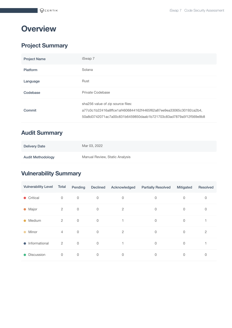# <span id="page-3-0"></span>**Overview**

# <span id="page-3-1"></span>**Project Summary**

| <b>Project Name</b> | iSwap 7                                                                                                                                                                    |
|---------------------|----------------------------------------------------------------------------------------------------------------------------------------------------------------------------|
| Platform            | Solana                                                                                                                                                                     |
| Language            | Rust                                                                                                                                                                       |
| Codebase            | Private Codebase                                                                                                                                                           |
| Commit              | sha256 value of zip source files:<br>a77c0c1b22416a8ffce1af4606844162f4465f62a87ee9ea33065c30192ca2b4,<br>50a8d3742071ac7a00c831b6459850daab1b721703c83ad7879a5f12f569e9b8 |

# <span id="page-3-2"></span>**Audit Summary**

| <b>Delivery Date</b>     | Mar 03, 2022                   |
|--------------------------|--------------------------------|
| <b>Audit Methodology</b> | Manual Review, Static Analysis |

# <span id="page-3-3"></span>**Vulnerability Summary**

| <b>Vulnerability Level</b> | Total          | Pending     | <b>Declined</b> | Acknowledged   | <b>Partially Resolved</b> | Mitigated   | <b>Resolved</b> |
|----------------------------|----------------|-------------|-----------------|----------------|---------------------------|-------------|-----------------|
| Critical<br>$\bullet$      | $\mathbf 0$    | $\mathbf 0$ | $\mathbf 0$     | $\mathbf 0$    | 0                         | 0           | 0               |
| • Major                    | $\overline{2}$ | 0           | $\mathbf 0$     | $\overline{2}$ | $\mathbf 0$               | 0           | 0               |
| Medium<br>$\bullet$        | $\overline{2}$ | $\mathbf 0$ | $\mathbf 0$     |                | $\mathbf 0$               | $\mathbf 0$ |                 |
| Minor<br>$\bullet$         | $\overline{4}$ | $\mathbf 0$ | 0               | $\overline{2}$ | $\mathbf 0$               | $\mathbf 0$ | $\overline{2}$  |
| Informational<br>$\bullet$ | $\overline{2}$ | $\mathbf 0$ | $\mathbf 0$     | 1              | $\mathbf 0$               | 0           |                 |
| <b>Discussion</b>          | 0              | $\mathbf 0$ | 0               | $\mathbf 0$    | 0                         | $\mathbf 0$ | 0               |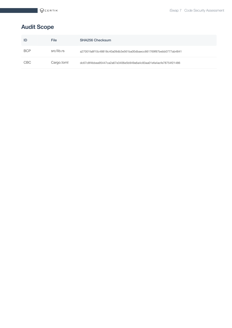# <span id="page-4-0"></span>**Audit Scope**

| ID         | <b>File</b> | <b>SHA256 Checksum</b>                                           |
|------------|-------------|------------------------------------------------------------------|
| <b>BCP</b> | src/lib.rs  | a27001fa8f10c48818c40a09db3e561ba00dbaecc661769f87bebb0777ab4841 |
| <b>CBC</b> | Cargo.toml  | dc67c8f4bbea95447ca2a67e3406e5b949a6a4c83aa01efa4acfe78754f21486 |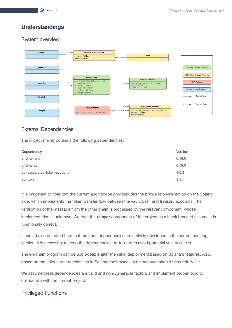#### **Understandings**

#### System overview



#### External Dependencies

The project mainly contains the following dependencies:

| Dependency                   | Version |
|------------------------------|---------|
| anchor-lang                  | 0.19.0  |
| anchor-spl                   | 0.19.0  |
| spl-associated-token-account | 1.0.3   |
| spl-token                    | 3.1.1   |

It is important to note that the current audit scope only includes the bridge implementation on the Solana side, which implements the token transfer flow between the vault, user, and treasury accounts. The verification of the message from the other chain is processed by the **relayer** component, whose implementation is unknown. We treat the **relayer** component of the project as a black box and assume it is functionally correct.

It should also be noted here that the code dependencies are actively developed in the current auditing version. It is necessary to keep the dependencies up-to-date to avoid potential vulnerabilities.

The on-chain program can be upgradeable after the initial deployment based on Solana's features. Also, based on the unique rent mechanism in Solana, the balance in the account should be carefully set.

We assume these dependencies are valid and non-vulnerable factors and implement proper logic to collaborate with the current project.

#### Privileged Functions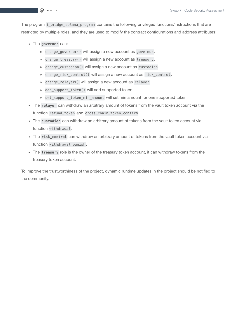The program i\_bridge\_solana\_program contains the following privileged functions/instructions that are restricted by multiple roles, and they are used to modify the contract configurations and address attributes:

- The **governer** can:
	- change\_governor() will assign a new account as governor .
	- change\_treasury() will assign a new account as treasury .
	- change\_custodian() will assign a new account as custodian .
	- change\_risk\_control() will assign a new account as risk\_control .
	- change\_relayer() will assign a new account as relayer .
	- add\_support\_token() will add supported token.
	- o set\_support\_token\_min\_amount will set min amount for one supported token.
- The **relayer** can withdraw an arbitrary amount of tokens from the vault token account via the function refund\_token and cross\_chain\_token\_confirm .
- The **custodian** can withdraw an arbitrary amount of tokens from the vault token account via function withdrawal .
- The **risk\_control** can withdraw an arbitrary amount of tokens from the vault token account via function withdrawal punish.
- The **treasury** role is the owner of the treasury token account, it can withdraw tokens from the treasury token account.

To improve the trustworthiness of the project, dynamic runtime updates in the project should be notified to the community.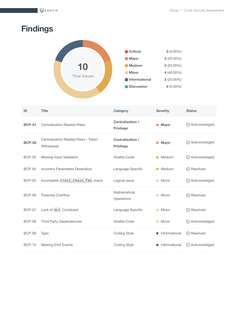# <span id="page-7-0"></span>**Findings**



| ID            | <b>Title</b>                                              | Category                                    | <b>Severity</b>    | <b>Status</b>                       |
|---------------|-----------------------------------------------------------|---------------------------------------------|--------------------|-------------------------------------|
| <b>BCP-01</b> | <b>Centralization Related Risks</b>                       | <b>Centralization /</b><br><b>Privilege</b> | Major              | <b><i><u>O</u></i></b> Acknowledged |
| <b>BCP-02</b> | <b>Centralization Related Risks - Token</b><br>Withdrawal | Centralization /<br><b>Privilege</b>        | Major              | (i) Acknowledged                    |
| <b>BCP-03</b> | Missing Input Validation                                  | <b>Volatile Code</b>                        | Medium             | <b><i><u>O</u></i></b> Acknowledged |
| <b>BCP-04</b> | <b>Incorrect Parameters Deserialize</b>                   | Language Specific                           | Medium             | $\oslash$ Resolved                  |
| <b>BCP-05</b> | Incomplete cross_chain_fee check                          | Logical Issue                               | Minor              | (i) Acknowledged                    |
| <b>BCP-06</b> | <b>Potential Overflow</b>                                 | Mathematical<br>Operations                  | Minor<br>$\bullet$ | ⊙ Resolved                          |
| <b>BCP-07</b> | Lack of mut Constraint                                    | Language Specific                           | Minor              | $\oslash$ Resolved                  |
| <b>BCP-08</b> | <b>Third Party Dependencies</b>                           | <b>Volatile Code</b>                        | Minor<br>$\bullet$ | (i) Acknowledged                    |
| <b>BCP-09</b> | Typo                                                      | <b>Coding Style</b>                         | Informational      | $\oslash$ Resolved                  |
| <b>BCP-10</b> | <b>Missing Emit Events</b>                                | <b>Coding Style</b>                         | Informational      | (i) Acknowledged                    |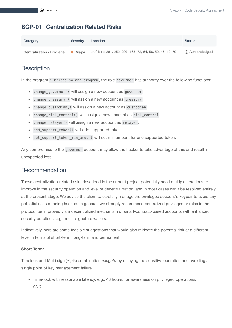## <span id="page-8-0"></span>**BCP-01 | Centralization Related Risks**

| Category                          | <b>Severity</b> | Location                                                   | <b>Status</b>    |
|-----------------------------------|-----------------|------------------------------------------------------------|------------------|
| <b>Centralization / Privilege</b> | • Maior         | src/lib.rs: 281, 252, 207, 163, 72, 64, 58, 52, 46, 40, 79 | (i) Acknowledged |

# **Description**

In the program i\_bridge\_solana\_program, the role governor has authority over the following functions:

- change\_governor() will assign a new account as governor .
- change\_treasury() will assign a new account as treasury .
- change\_custodian() will assign a new account as custodian .
- change\_risk\_control() will assign a new account as risk\_control .
- change\_relayer() will assign a new account as relayer .
- add\_support\_token() will add supported token.
- set\_support\_token\_min\_amount will set min amount for one supported token.

Any compromise to the governor account may allow the hacker to take advantage of this and result in unexpected loss.

#### Recommendation

These centralization-related risks described in the current project potentially need multiple iterations to improve in the security operation and level of decentralization, and in most cases can't be resolved entirely at the present stage. We advise the client to carefully manage the privileged account's keypair to avoid any potential risks of being hacked. In general, we strongly recommend centralized privileges or roles in the protocol be improved via a decentralized mechanism or smart-contract-based accounts with enhanced security practices, e.g., multi-signature wallets.

Indicatively, here are some feasible suggestions that would also mitigate the potential risk at a different level in terms of short-term, long-term and permanent:

#### **Short Term:**

Timelock and Multi sign (⅔, ⅗) combination *mitigate* by delaying the sensitive operation and avoiding a single point of key management failure.

• Time-lock with reasonable latency, e.g., 48 hours, for awareness on privileged operations; AND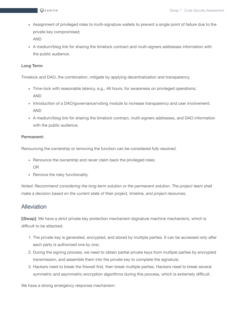- Assignment of privileged roles to multi-signature wallets to prevent a single point of failure due to the private key compromised; AND
- A medium/blog link for sharing the timelock contract and multi-signers addresses information with the public audience.

#### **Long Term:**

Timelock and DAO, the combination, *mitigate* by applying decentralization and transparency.

- Time-lock with reasonable latency, e.g., 48 hours, for awareness on privileged operations; AND
- Introduction of a DAO/governance/voting module to increase transparency and user involvement; AND
- A medium/blog link for sharing the timelock contract, multi-signers addresses, and DAO information with the public audience.

#### **Permanent:**

Renouncing the ownership or removing the function can be considered *fully resolved*.

- Renounce the ownership and never claim back the privileged roles; OR
- Remove the risky functionality.

*Noted: Recommend considering the long-term solution or the permanent solution. The project team shall make a decision based on the current state of their project, timeline, and project resources.*

#### Alleviation

**[iSwap]**: We have a strict private key protection mechanism (signature machine mechanism), which is difficult to be attacked.

- 1. The private key is generated, encrypted, and stored by multiple parties. It can be accessed only after each party is authorized one by one;
- 2. During the signing process, we need to obtain partial private keys from multiple parties by encrypted transmission, and assemble them into the private key to complete the signature;
- 3. Hackers need to break the firewall first, then break multiple parties. Hackers need to break several symmetric and asymmetric encryption algorithms during this process, which is extremely difficult.

We have a strong emergency response mechanism: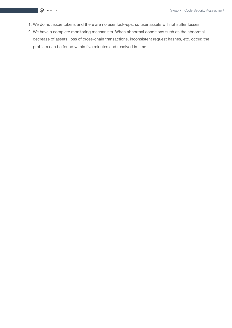- 1. We do not issue tokens and there are no user lock-ups, so user assets will not suffer losses;
- 2. We have a complete monitoring mechanism. When abnormal conditions such as the abnormal decrease of assets, loss of cross-chain transactions, inconsistent request hashes, etc. occur, the problem can be found within five minutes and resolved in time.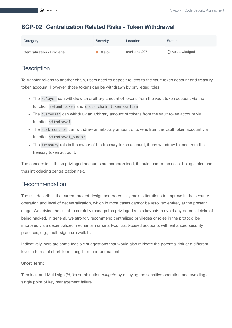#### <span id="page-11-0"></span>**BCP-02 | Centralization Related Risks - Token Withdrawal**

| Category                          | <b>Severity</b> | Location        | <b>Status</b>    |
|-----------------------------------|-----------------|-----------------|------------------|
| <b>Centralization / Privilege</b> | • Major         | src/lib.rs: 207 | (i) Acknowledged |

## **Description**

To transfer tokens to another chain, users need to deposit tokens to the vault token account and treasury token account. However, those tokens can be withdrawn by privileged roles.

- The relayer can withdraw an arbitrary amount of tokens from the vault token account via the function refund\_token and cross\_chain\_token\_confirm .
- The custodian can withdraw an arbitrary amount of tokens from the vault token account via function withdrawal .
- The risk\_control can withdraw an arbitrary amount of tokens from the vault token account via function withdrawal\_punish .
- The treasury role is the owner of the treasury token account, it can withdraw tokens from the treasury token account.

The concern is, if those privileged accounts are compromised, it could lead to the asset being stolen and thus introducing centralization risk,

#### Recommendation

The risk describes the current project design and potentially makes iterations to improve in the security operation and level of decentralization, which in most cases cannot be resolved entirely at the present stage. We advise the client to carefully manage the privileged role's keypair to avoid any potential risks of being hacked. In general, we strongly recommend centralized privileges or roles in the protocol be improved via a decentralized mechanism or smart-contract-based accounts with enhanced security practices, e.g., multi-signature wallets.

Indicatively, here are some feasible suggestions that would also mitigate the potential risk at a different level in terms of short-term, long-term and permanent:

#### **Short Term:**

Timelock and Multi sign (⅔, ⅗) combination *mitigate* by delaying the sensitive operation and avoiding a single point of key management failure.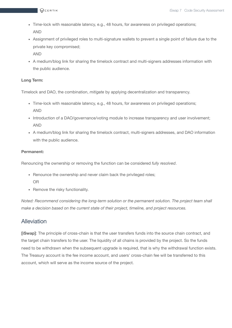- Time-lock with reasonable latency, e.g., 48 hours, for awareness on privileged operations; AND
- Assignment of privileged roles to multi-signature wallets to prevent a single point of failure due to the private key compromised;

AND

A medium/blog link for sharing the timelock contract and multi-signers addresses information with the public audience.

#### **Long Term:**

Timelock and DAO, the combination, *mitigate* by applying decentralization and transparency.

- Time-lock with reasonable latency, e.g., 48 hours, for awareness on privileged operations; AND
- Introduction of a DAO/governance/voting module to increase transparency and user involvement; AND
- A medium/blog link for sharing the timelock contract, multi-signers addresses, and DAO information with the public audience.

#### **Permanent:**

Renouncing the ownership or removing the function can be considered *fully resolved*.

- Renounce the ownership and never claim back the privileged roles; OR
- Remove the risky functionality.

*Noted: Recommend considering the long-term solution or the permanent solution. The project team shall make a decision based on the current state of their project, timeline, and project resources.*

#### **Alleviation**

**[iSwap]**: The principle of cross-chain is that the user transfers funds into the source chain contract, and the target chain transfers to the user. The liquidity of all chains is provided by the project. So the funds need to be withdrawn when the subsequent upgrade is required, that is why the withdrawal function exists. The Treasury account is the fee income account, and users' cross-chain fee will be transferred to this account, which will serve as the income source of the project.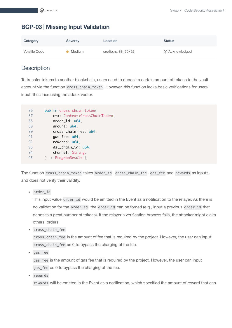# <span id="page-13-0"></span>**BCP-03 | Missing Input Validation**

| Category      | <b>Severity</b> | Location              | <b>Status</b>    |
|---------------|-----------------|-----------------------|------------------|
| Volatile Code | Medium          | src/lib.rs: 88, 90~92 | (i) Acknowledged |

# **Description**

To transfer tokens to another blockchain, users need to deposit a certain amount of tokens to the vault account via the function cross\_chain\_token . However, this function lacks basic verifications for users' input, thus increasing the attack vector.

| 86 | pub fn cross_chain_token(                         |
|----|---------------------------------------------------|
| 87 | ctx: Context <crosschaintoken>,</crosschaintoken> |
| 88 | order_id: u64,                                    |
| 89 | amount: u64,                                      |
| 90 | cross_chain_fee: u64,                             |
| 91 | gas_fee: u64,                                     |
| 92 | $rewards: u64$ ,                                  |
| 93 | dst_chain_id: u64,                                |
| 94 | channel: String,                                  |
| 95 | $)$ -> ProgramResult {                            |

The function cross\_chain\_token takes order\_id , cross\_chain\_fee , gas\_fee and rewards as inputs, and does not verify their validity.

order\_id

This input value order\_id would be emitted in the Event as a notification to the relayer. As there is no validation for the order\_id , the order\_id can be forged (e.g., input a previous order\_id that deposits a great number of tokens). If the relayer's verification process fails, the attacker might claim others' orders.

cross\_chain\_fee

cross\_chain\_fee is the amount of fee that is required by the project. However, the user can input cross\_chain\_fee as 0 to bypass the charging of the fee.

gas\_fee

gas\_fee is the amount of gas fee that is required by the project. However, the user can input gas\_fee as 0 to bypass the charging of the fee.

• rewards

rewards will be emitted in the Event as a notification, which specified the amount of reward that can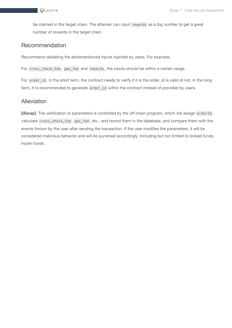be claimed in the target chain. The attacker can input rewards as a big number to get a great number of rewards in the target chain.

#### Recommendation

Recommend validating the aforementioned inputs injected by users. For example,

For cross\_chain\_fee , gas\_fee and rewards , the inputs should be within a certain range.

For order\_id, in the short term, the contract needs to verify if it is the order\_id is valid ot not. In the long term, it is recommended to generate order\_id within the contract instead of provided by users.

#### Alleviation

**[iSwap]**: The verification of parameters is controlled by the off-chain program, which will assign orderId , calculate cross\_chain\_fee , gas\_fee , etc., and record them in the database, and compare them with the events thrown by the user after sending the transaction. If the user modifies the parameters, it will be considered malicious behavior and will be punished accordingly. Including but not limited to locked funds, frozen funds.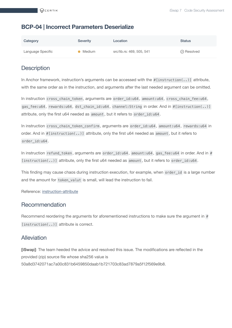#### <span id="page-15-0"></span>**BCP-04 | Incorrect Parameters Deserialize**

| Category          | <b>Severity</b> | Location                  | <b>Status</b>      |
|-------------------|-----------------|---------------------------|--------------------|
| Language Specific | Medium          | src/lib.rs: 469, 505, 541 | $\oslash$ Resolved |

#### **Description**

In Anchor framework, instruction's arguments can be accessed with the  $\#$ [instruction( $\ldots$ )] attribute, with the same order as in the instruction, and arguments after the last needed argument can be omitted.

In instruction cross\_chain\_token , arguments are order\_id:u64 , amount:u64 , cross\_chain\_fee:u64 , gas\_fee:u64 , rewards:u64 , dst\_chain\_id:u64 , channel:String in order. And in #[instruction(..)] attribute, only the first u64 needed as amount , but it refers to order\_id:u64 .

In instruction cross\_chain\_token\_confirm , arguments are order\_id:u64 , amount:u64 , rewards:u64 in order. And in #[instruction(..)] attribute, only the first u64 needed as amount , but it refers to order\_id:u64 .

In instruction refund\_token, arguments are order\_id:u64, amount:u64, gas\_fee:u64 in order. And in # [instruction(..)] attribute, only the first u64 needed as amount, but it refers to order\_id:u64.

This finding may cause chaos during instruction execution, for example, when order\_id is a large number and the amount for token\_valut is small, will lead the instruction to fail.

Reference: [instruction-attribute](https://docs.rs/anchor-lang/latest/anchor_lang/derive.Accounts.html#instruction-attribute)

#### Recommendation

Recommend reordering the arguments for aforementioned instructions to make sure the argument in  $#$ [instruction(..)] attribute is correct.

#### Alleviation

**[iSwap]**: The team heeded the advice and resolved this issue. The modifications are reflected in the provided (zip) source file whose sha256 value is 50a8d3742071ac7a00c831b6459850daab1b721703c83ad7879a5f12f569e9b8.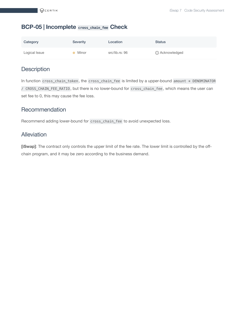#### <span id="page-16-0"></span>**BCP-05 | Incomplete cross\_chain\_fee Check**

| Category      | <b>Severity</b> | Location       | <b>Status</b>    |
|---------------|-----------------|----------------|------------------|
| Logical Issue | Minor           | src/lib.rs: 96 | (i) Acknowledged |

#### **Description**

In function cross\_chain\_token, the cross\_chain\_fee is limited by a upper-bound amount \* DENOMINATOR / CROSS\_CHAIN\_FEE\_RATIO , but there is no lower-bound for cross\_chain\_fee , which means the user can set fee to 0, this may cause the fee loss.

#### Recommendation

Recommend adding lower-bound for cross\_chain\_fee to avoid unexpected loss.

#### Alleviation

**[iSwap]**: The contract only controls the upper limit of the fee rate. The lower limit is controlled by the offchain program, and it may be zero according to the business demand.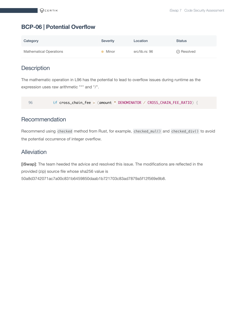#### <span id="page-17-0"></span>**BCP-06 | Potential Overflow**

| Category                       | Severity | Location       | <b>Status</b>      |
|--------------------------------|----------|----------------|--------------------|
| <b>Mathematical Operations</b> | Minor    | src/lib.rs: 96 | $\oslash$ Resolved |

# **Description**

The mathematic operation in L96 has the potential to lead to overflow issues during runtime as the expression uses raw arithmetic "\*" and "/".

96 if cross\_chain\_fee > (amount \* DENOMINATOR / CROSS\_CHAIN\_FEE\_RATIO) {

#### Recommendation

Recommend using checked method from Rust, for example, checked\_mul() and checked\_div() to avoid the potential occurrence of integer overflow.

#### Alleviation

**[iSwap]**: The team heeded the advice and resolved this issue. The modifications are reflected in the provided (zip) source file whose sha256 value is 50a8d3742071ac7a00c831b6459850daab1b721703c83ad7879a5f12f569e9b8.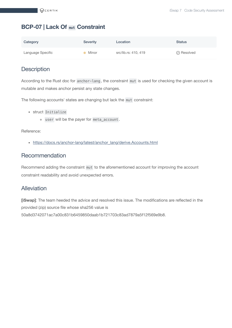## <span id="page-18-0"></span>**BCP-07 | Lack Of mut Constraint**

| Category          | <b>Severity</b> | Location             | <b>Status</b>      |
|-------------------|-----------------|----------------------|--------------------|
| Language Specific | Minor           | src/lib.rs: 410, 419 | $\oslash$ Resolved |

#### **Description**

According to the Rust doc for anchor-lang , the constraint mut is used for checking the given account is mutable and makes anchor persist any state changes.

The following accounts' states are changing but lack the mut constraint:

- struct Initialize
	- user will be the payer for meta\_account .

Reference:

• [https://docs.rs/anchor-lang/latest/anchor\\_lang/derive.Accounts.html](https://docs.rs/anchor-lang/latest/anchor_lang/derive.Accounts.html)

#### Recommendation

Recommend adding the constraint mut to the aforementioned account for improving the account constraint readability and avoid unexpected errors.

#### **Alleviation**

**[iSwap]**: The team heeded the advice and resolved this issue. The modifications are reflected in the provided (zip) source file whose sha256 value is 50a8d3742071ac7a00c831b6459850daab1b721703c83ad7879a5f12f569e9b8.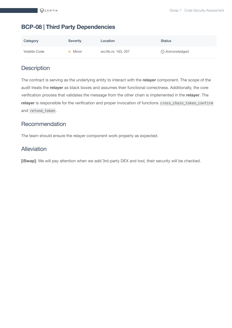#### <span id="page-19-0"></span>**BCP-08 | Third Party Dependencies**

| Category      | <b>Severity</b> | Location             | Status           |
|---------------|-----------------|----------------------|------------------|
| Volatile Code | Minor           | src/lib.rs: 163, 207 | (i) Acknowledged |

# **Description**

The contract is serving as the underlying entity to interact with the **relayer** component. The scope of the audit treats the **relayer** as black boxes and assumes their functional correctness. Additionally, the core verification process that validates the message from the other chain is implemented in the **relayer**. The **relayer** is responsible for the verification and proper invocation of functions cross\_chain\_token\_confirm and refund\_token .

#### Recommendation

The team should ensure the relayer component work properly as expected.

#### Alleviation

**[iSwap]**: We will pay attention when we add 3rd-party DEX and tool, their security will be checked.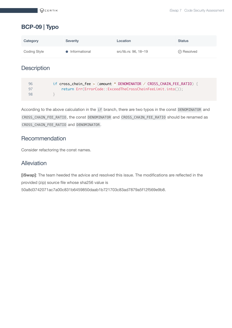# <span id="page-20-0"></span>**BCP-09 | Typo**

| Category     | <b>Severity</b> | Location              | <b>Status</b>      |
|--------------|-----------------|-----------------------|--------------------|
| Coding Style | • Informational | src/lib.rs: 96, 18~19 | $\oslash$ Resolved |

# **Description**

| 96  | if cross_chain_fee > (amount * DENOMINATOR / CROSS_CHAIN_FEE_RATIO) { |
|-----|-----------------------------------------------------------------------|
| -97 | return Err(ErrorCode::ExceedTheCrossChainFeeLimit.into());            |
| 98  |                                                                       |

According to the above calculation in the if branch, there are two typos in the const DENOMINATOR and CROSS\_CHAIN\_FEE\_RATIO , the const DENOMINATOR and CROSS\_CHAIN\_FEE\_RATIO should be renamed as CROSS\_CHAIN\_FEE\_RATIO and DENOMINATOR .

#### Recommendation

Consider refactoring the const names.

#### Alleviation

**[iSwap]**: The team heeded the advice and resolved this issue. The modifications are reflected in the provided (zip) source file whose sha256 value is 50a8d3742071ac7a00c831b6459850daab1b721703c83ad7879a5f12f569e9b8.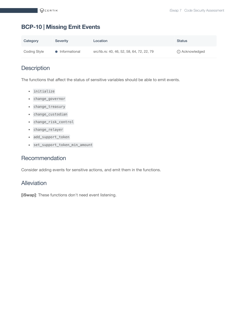## <span id="page-21-0"></span>**BCP-10 | Missing Emit Events**

| Category     | <b>Severity</b> | Location                                   | <b>Status</b>    |
|--------------|-----------------|--------------------------------------------|------------------|
| Coding Style | • Informational | src/lib.rs: 40, 46, 52, 58, 64, 72, 22, 79 | (i) Acknowledged |

# **Description**

The functions that affect the status of sensitive variables should be able to emit events.

- initialize
- change\_governor
- change\_treasury
- change\_custodian
- change\_risk\_control
- change\_relayer
- add\_support\_token
- set\_support\_token\_min\_amount

#### Recommendation

Consider adding events for sensitive actions, and emit them in the functions.

#### **Alleviation**

**[iSwap]**: These functions don't need event listening.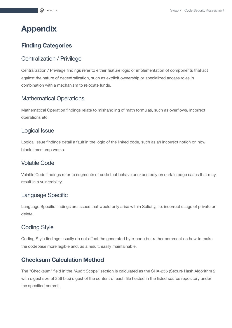# <span id="page-22-0"></span>**Appendix**

## **Finding Categories**

#### Centralization / Privilege

Centralization / Privilege findings refer to either feature logic or implementation of components that act against the nature of decentralization, such as explicit ownership or specialized access roles in combination with a mechanism to relocate funds.

# Mathematical Operations

Mathematical Operation findings relate to mishandling of math formulas, such as overflows, incorrect operations etc.

#### Logical Issue

Logical Issue findings detail a fault in the logic of the linked code, such as an incorrect notion on how block.timestamp works.

#### Volatile Code

Volatile Code findings refer to segments of code that behave unexpectedly on certain edge cases that may result in a vulnerability.

#### Language Specific

Language Specific findings are issues that would only arise within Solidity, i.e. incorrect usage of private or delete.

# Coding Style

Coding Style findings usually do not affect the generated byte-code but rather comment on how to make the codebase more legible and, as a result, easily maintainable.

#### **Checksum Calculation Method**

The "Checksum" field in the "Audit Scope" section is calculated as the SHA-256 (Secure Hash Algorithm 2 with digest size of 256 bits) digest of the content of each file hosted in the listed source repository under the specified commit.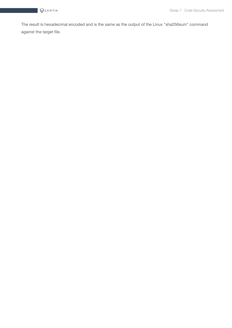The result is hexadecimal encoded and is the same as the output of the Linux "sha256sum" command against the target file.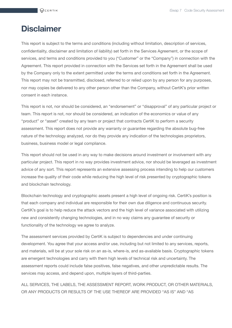# <span id="page-24-0"></span>**Disclaimer**

This report is subject to the terms and conditions (including without limitation, description of services, confidentiality, disclaimer and limitation of liability) set forth in the Services Agreement, or the scope of services, and terms and conditions provided to you ("Customer" or the "Company") in connection with the Agreement. This report provided in connection with the Services set forth in the Agreement shall be used by the Company only to the extent permitted under the terms and conditions set forth in the Agreement. This report may not be transmitted, disclosed, referred to or relied upon by any person for any purposes, nor may copies be delivered to any other person other than the Company, without CertiK's prior written consent in each instance.

This report is not, nor should be considered, an "endorsement" or "disapproval" of any particular project or team. This report is not, nor should be considered, an indication of the economics or value of any "product" or "asset" created by any team or project that contracts CertiK to perform a security assessment. This report does not provide any warranty or guarantee regarding the absolute bug-free nature of the technology analyzed, nor do they provide any indication of the technologies proprietors, business, business model or legal compliance.

This report should not be used in any way to make decisions around investment or involvement with any particular project. This report in no way provides investment advice, nor should be leveraged as investment advice of any sort. This report represents an extensive assessing process intending to help our customers increase the quality of their code while reducing the high level of risk presented by cryptographic tokens and blockchain technology.

Blockchain technology and cryptographic assets present a high level of ongoing risk. CertiK's position is that each company and individual are responsible for their own due diligence and continuous security. CertiK's goal is to help reduce the attack vectors and the high level of variance associated with utilizing new and consistently changing technologies, and in no way claims any guarantee of security or functionality of the technology we agree to analyze.

The assessment services provided by CertiK is subject to dependencies and under continuing development. You agree that your access and/or use, including but not limited to any services, reports, and materials, will be at your sole risk on an as-is, where-is, and as-available basis. Cryptographic tokens are emergent technologies and carry with them high levels of technical risk and uncertainty. The assessment reports could include false positives, false negatives, and other unpredictable results. The services may access, and depend upon, multiple layers of third-parties.

ALL SERVICES, THE LABELS, THE ASSESSMENT REPORT, WORK PRODUCT, OR OTHER MATERIALS, OR ANY PRODUCTS OR RESULTS OF THE USE THEREOF ARE PROVIDED "AS IS" AND "AS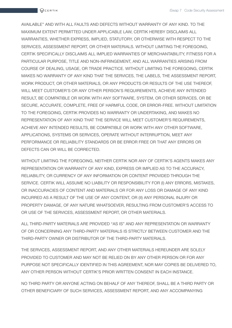AVAILABLE" AND WITH ALL FAULTS AND DEFECTS WITHOUT WARRANTY OF ANY KIND. TO THE MAXIMUM EXTENT PERMITTED UNDER APPLICABLE LAW, CERTIK HEREBY DISCLAIMS ALL WARRANTIES, WHETHER EXPRESS, IMPLIED, STATUTORY, OR OTHERWISE WITH RESPECT TO THE SERVICES, ASSESSMENT REPORT, OR OTHER MATERIALS. WITHOUT LIMITING THE FOREGOING, CERTIK SPECIFICALLY DISCLAIMS ALL IMPLIED WARRANTIES OF MERCHANTABILITY, FITNESS FOR A PARTICULAR PURPOSE, TITLE AND NON-INFRINGEMENT, AND ALL WARRANTIES ARISING FROM COURSE OF DEALING, USAGE, OR TRADE PRACTICE. WITHOUT LIMITING THE FOREGOING, CERTIK MAKES NO WARRANTY OF ANY KIND THAT THE SERVICES, THE LABELS, THE ASSESSMENT REPORT, WORK PRODUCT, OR OTHER MATERIALS, OR ANY PRODUCTS OR RESULTS OF THE USE THEREOF, WILL MEET CUSTOMER'S OR ANY OTHER PERSON'S REQUIREMENTS, ACHIEVE ANY INTENDED RESULT, BE COMPATIBLE OR WORK WITH ANY SOFTWARE, SYSTEM, OR OTHER SERVICES, OR BE SECURE, ACCURATE, COMPLETE, FREE OF HARMFUL CODE, OR ERROR-FREE. WITHOUT LIMITATION TO THE FOREGOING, CERTIK PROVIDES NO WARRANTY OR UNDERTAKING, AND MAKES NO REPRESENTATION OF ANY KIND THAT THE SERVICE WILL MEET CUSTOMER'S REQUIREMENTS, ACHIEVE ANY INTENDED RESULTS, BE COMPATIBLE OR WORK WITH ANY OTHER SOFTWARE, APPLICATIONS, SYSTEMS OR SERVICES, OPERATE WITHOUT INTERRUPTION, MEET ANY PERFORMANCE OR RELIABILITY STANDARDS OR BE ERROR FREE OR THAT ANY ERRORS OR DEFECTS CAN OR WILL BE CORRECTED.

WITHOUT LIMITING THE FOREGOING, NEITHER CERTIK NOR ANY OF CERTIK'S AGENTS MAKES ANY REPRESENTATION OR WARRANTY OF ANY KIND, EXPRESS OR IMPLIED AS TO THE ACCURACY, RELIABILITY, OR CURRENCY OF ANY INFORMATION OR CONTENT PROVIDED THROUGH THE SERVICE. CERTIK WILL ASSUME NO LIABILITY OR RESPONSIBILITY FOR (I) ANY ERRORS, MISTAKES, OR INACCURACIES OF CONTENT AND MATERIALS OR FOR ANY LOSS OR DAMAGE OF ANY KIND INCURRED AS A RESULT OF THE USE OF ANY CONTENT, OR (II) ANY PERSONAL INJURY OR PROPERTY DAMAGE, OF ANY NATURE WHATSOEVER, RESULTING FROM CUSTOMER'S ACCESS TO OR USE OF THE SERVICES, ASSESSMENT REPORT, OR OTHER MATERIALS.

ALL THIRD-PARTY MATERIALS ARE PROVIDED "AS IS" AND ANY REPRESENTATION OR WARRANTY OF OR CONCERNING ANY THIRD-PARTY MATERIALS IS STRICTLY BETWEEN CUSTOMER AND THE THIRD-PARTY OWNER OR DISTRIBUTOR OF THE THIRD-PARTY MATERIALS.

THE SERVICES, ASSESSMENT REPORT, AND ANY OTHER MATERIALS HEREUNDER ARE SOLELY PROVIDED TO CUSTOMER AND MAY NOT BE RELIED ON BY ANY OTHER PERSON OR FOR ANY PURPOSE NOT SPECIFICALLY IDENTIFIED IN THIS AGREEMENT, NOR MAY COPIES BE DELIVERED TO, ANY OTHER PERSON WITHOUT CERTIK'S PRIOR WRITTEN CONSENT IN EACH INSTANCE.

NO THIRD PARTY OR ANYONE ACTING ON BEHALF OF ANY THEREOF, SHALL BE A THIRD PARTY OR OTHER BENEFICIARY OF SUCH SERVICES, ASSESSMENT REPORT, AND ANY ACCOMPANYING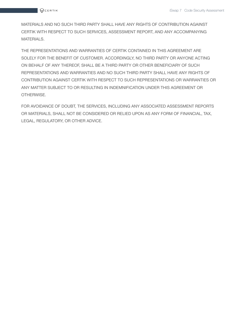MATERIALS AND NO SUCH THIRD PARTY SHALL HAVE ANY RIGHTS OF CONTRIBUTION AGAINST CERTIK WITH RESPECT TO SUCH SERVICES, ASSESSMENT REPORT, AND ANY ACCOMPANYING MATERIALS.

THE REPRESENTATIONS AND WARRANTIES OF CERTIK CONTAINED IN THIS AGREEMENT ARE SOLELY FOR THE BENEFIT OF CUSTOMER. ACCORDINGLY, NO THIRD PARTY OR ANYONE ACTING ON BEHALF OF ANY THEREOF, SHALL BE A THIRD PARTY OR OTHER BENEFICIARY OF SUCH REPRESENTATIONS AND WARRANTIES AND NO SUCH THIRD PARTY SHALL HAVE ANY RIGHTS OF CONTRIBUTION AGAINST CERTIK WITH RESPECT TO SUCH REPRESENTATIONS OR WARRANTIES OR ANY MATTER SUBJECT TO OR RESULTING IN INDEMNIFICATION UNDER THIS AGREEMENT OR OTHERWISE.

FOR AVOIDANCE OF DOUBT, THE SERVICES, INCLUDING ANY ASSOCIATED ASSESSMENT REPORTS OR MATERIALS, SHALL NOT BE CONSIDERED OR RELIED UPON AS ANY FORM OF FINANCIAL, TAX, LEGAL, REGULATORY, OR OTHER ADVICE.